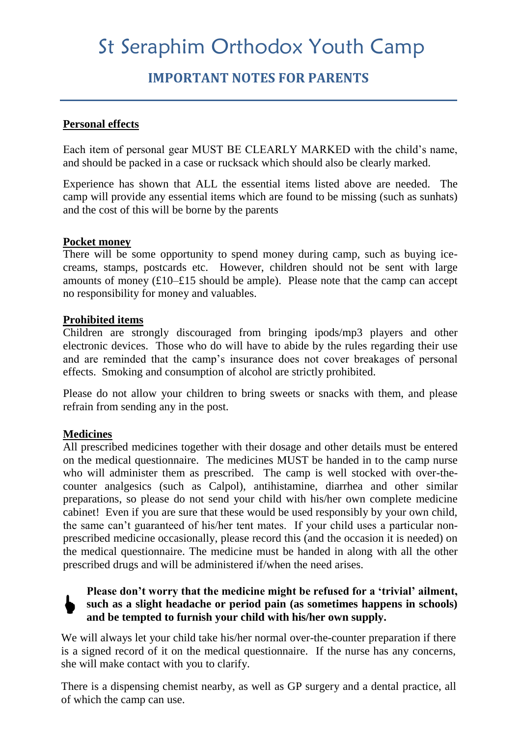# St Seraphim Orthodox Youth Camp

# **IMPORTANT NOTES FOR PARENTS**

#### **Personal effects**

Each item of personal gear MUST BE CLEARLY MARKED with the child's name, and should be packed in a case or rucksack which should also be clearly marked.

Experience has shown that ALL the essential items listed above are needed. The camp will provide any essential items which are found to be missing (such as sunhats) and the cost of this will be borne by the parents

#### **Pocket money**

There will be some opportunity to spend money during camp, such as buying icecreams, stamps, postcards etc. However, children should not be sent with large amounts of money  $(\text{\textsterling}10-\text{\textsterling}15)$  should be ample). Please note that the camp can accept no responsibility for money and valuables.

#### **Prohibited items**

Children are strongly discouraged from bringing ipods/mp3 players and other electronic devices. Those who do will have to abide by the rules regarding their use and are reminded that the camp's insurance does not cover breakages of personal effects. Smoking and consumption of alcohol are strictly prohibited.

Please do not allow your children to bring sweets or snacks with them, and please refrain from sending any in the post.

## **Medicines**

 $\blacklozenge$ 

All prescribed medicines together with their dosage and other details must be entered on the medical questionnaire. The medicines MUST be handed in to the camp nurse who will administer them as prescribed. The camp is well stocked with over-thecounter analgesics (such as Calpol), antihistamine, diarrhea and other similar preparations, so please do not send your child with his/her own complete medicine cabinet! Even if you are sure that these would be used responsibly by your own child, the same can't guaranteed of his/her tent mates. If your child uses a particular nonprescribed medicine occasionally, please record this (and the occasion it is needed) on the medical questionnaire. The medicine must be handed in along with all the other prescribed drugs and will be administered if/when the need arises.

# **Please don't worry that the medicine might be refused for a 'trivial' ailment, such as a slight headache or period pain (as sometimes happens in schools) and be tempted to furnish your child with his/her own supply.**

We will always let your child take his/her normal over-the-counter preparation if there is a signed record of it on the medical questionnaire. If the nurse has any concerns, she will make contact with you to clarify.

There is a dispensing chemist nearby, as well as GP surgery and a dental practice, all of which the camp can use.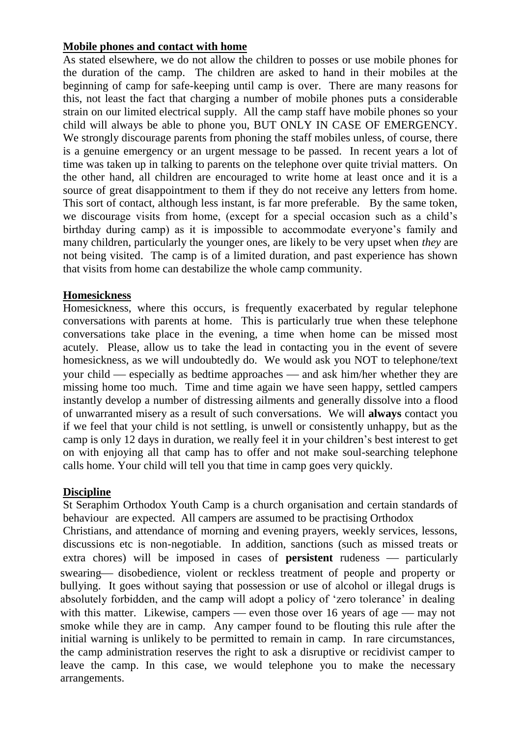## **Mobile phones and contact with home**

As stated elsewhere, we do not allow the children to posses or use mobile phones for the duration of the camp. The children are asked to hand in their mobiles at the beginning of camp for safe-keeping until camp is over. There are many reasons for this, not least the fact that charging a number of mobile phones puts a considerable strain on our limited electrical supply. All the camp staff have mobile phones so your child will always be able to phone you, BUT ONLY IN CASE OF EMERGENCY. We strongly discourage parents from phoning the staff mobiles unless, of course, there is a genuine emergency or an urgent message to be passed. In recent years a lot of time was taken up in talking to parents on the telephone over quite trivial matters. On the other hand, all children are encouraged to write home at least once and it is a source of great disappointment to them if they do not receive any letters from home. This sort of contact, although less instant, is far more preferable. By the same token, we discourage visits from home, (except for a special occasion such as a child's birthday during camp) as it is impossible to accommodate everyone's family and many children, particularly the younger ones, are likely to be very upset when *they* are not being visited. The camp is of a limited duration, and past experience has shown that visits from home can destabilize the whole camp community.

## **Homesickness**

Homesickness, where this occurs, is frequently exacerbated by regular telephone conversations with parents at home. This is particularly true when these telephone conversations take place in the evening, a time when home can be missed most acutely. Please, allow us to take the lead in contacting you in the event of severe homesickness, as we will undoubtedly do. We would ask you NOT to telephone/text your child  $-$  especially as bedtime approaches  $-$  and ask him/her whether they are missing home too much. Time and time again we have seen happy, settled campers instantly develop a number of distressing ailments and generally dissolve into a flood of unwarranted misery as a result of such conversations. We will **always** contact you if we feel that your child is not settling, is unwell or consistently unhappy, but as the camp is only 12 days in duration, we really feel it in your children's best interest to get on with enjoying all that camp has to offer and not make soul-searching telephone calls home. Your child will tell you that time in camp goes very quickly.

## **Discipline**

St Seraphim Orthodox Youth Camp is a church organisation and certain standards of behaviour are expected. All campers are assumed to be practising Orthodox

Christians, and attendance of morning and evening prayers, weekly services, lessons, discussions etc is non-negotiable. In addition, sanctions (such as missed treats or extra chores) will be imposed in cases of **persistent** rudeness — particularly swearing— disobedience, violent or reckless treatment of people and property or bullying. It goes without saying that possession or use of alcohol or illegal drugs is absolutely forbidden, and the camp will adopt a policy of 'zero tolerance' in dealing with this matter. Likewise, campers — even those over 16 years of age — may not smoke while they are in camp. Any camper found to be flouting this rule after the initial warning is unlikely to be permitted to remain in camp. In rare circumstances, the camp administration reserves the right to ask a disruptive or recidivist camper to leave the camp. In this case, we would telephone you to make the necessary arrangements.